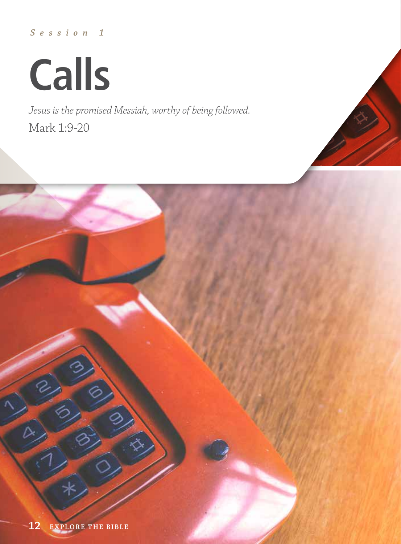## *Session 1*

**Calls**

*Jesus is the promised Messiah, worthy of being followed.* Mark 1:9-20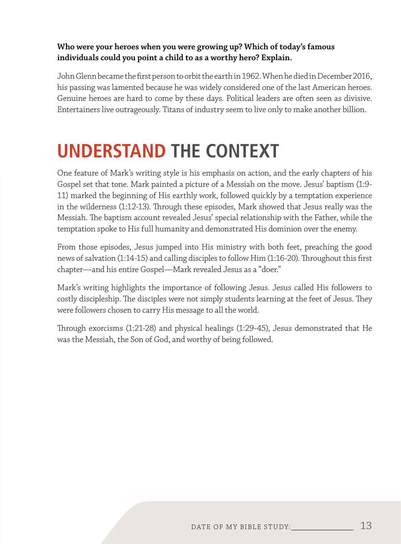#### **Who were your heroes when you were growing up? Which of today's famous individuals could you point a child to as a worthy hero? Explain.**

John Glenn became the first person to orbit the earth in 1962. When he died in December 2016, his passing was lamented because he was widely considered one of the last American heroes. Genuine heroes are hard to come by these days. Political leaders are often seen as divisive. Entertainers live outrageously. Titans of industry seem to live only to make another billion.

## **UNDERSTAND THE CONTEXT**

One feature of Mark's writing style is his emphasis on action, and the early chapters of his Gospel set that tone. Mark painted a picture of a Messiah on the move. Jesus' baptism (1:9- 11) marked the beginning of His earthly work, followed quickly by a temptation experience in the wilderness (1:12-13). Through these episodes, Mark showed that Jesus really was the Messiah. The baptism account revealed Jesus' special relationship with the Father, while the temptation spoke to His full humanity and demonstrated His dominion over the enemy.

From those episodes, Jesus jumped into His ministry with both feet, preaching the good news of salvation (1:14-15) and calling disciples to follow Him (1:16-20). Throughout this first chapter—and his entire Gospel—Mark revealed Jesus as a "doer."

Mark's writing highlights the importance of following Jesus. Jesus called His followers to costly discipleship. The disciples were not simply students learning at the feet of Jesus. They were followers chosen to carry His message to all the world.

Through exorcisms (1:21-28) and physical healings (1:29-45), Jesus demonstrated that He was the Messiah, the Son of God, and worthy of being followed.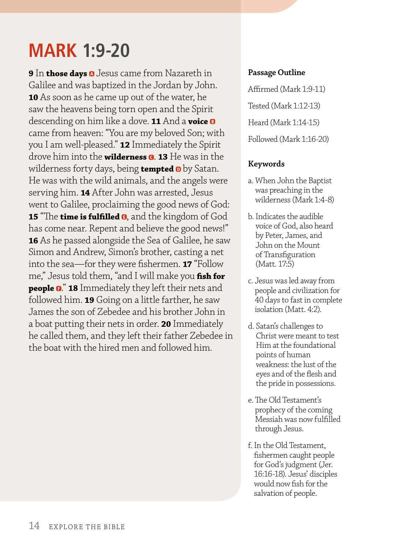## **MARK 1:9-20**

**9** In **those days** Jesus came from Nazareth in Galilee and was baptized in the Jordan by John. **10** As soon as he came up out of the water, he saw the heavens being torn open and the Spirit descending on him like a dove. **11** And a **voice** came from heaven: "You are my beloved Son; with you I am well-pleased." **12** Immediately the Spirit drove him into the **wilderness @. 13** He was in the wilderness forty days, being **tempted 0** by Satan. He was with the wild animals, and the angels were serving him. **14** After John was arrested, Jesus went to Galilee, proclaiming the good news of God: **15** "The **time is fulfilled @**, and the kingdom of God has come near. Repent and believe the good news!" **16** As he passed alongside the Sea of Galilee, he saw Simon and Andrew, Simon's brother, casting a net into the sea—for they were fishermen. **17** "Follow me," Jesus told them, "and I will make you **fish for people 0." 18** Immediately they left their nets and followed him. **19** Going on a little farther, he saw James the son of Zebedee and his brother John in a boat putting their nets in order. **20** Immediately he called them, and they left their father Zebedee in the boat with the hired men and followed him.

#### **Passage Outline**

Affirmed (Mark 1:9-11) Tested (Mark 1:12-13) Heard (Mark 1:14-15) Followed (Mark 1:16-20)

#### **Keywords**

- a. When John the Baptist was preaching in the wilderness (Mark 1:4-8)
- b. Indicates the audible voice of God, also heard by Peter, James, and John on the Mount of Transfiguration (Matt. 17:5)
- c. Jesus was led away from people and civilization for 40 days to fast in complete isolation (Matt. 4:2).
- d. Satan's challenges to Christ were meant to test Him at the foundational points of human weakness: the lust of the eyes and of the flesh and the pride in possessions.
- e. The Old Testament's prophecy of the coming Messiah was now fulfilled through Jesus.
- f. In the Old Testament, fishermen caught people for God's judgment (Jer. 16:16-18). Jesus' disciples would now fish for the salvation of people.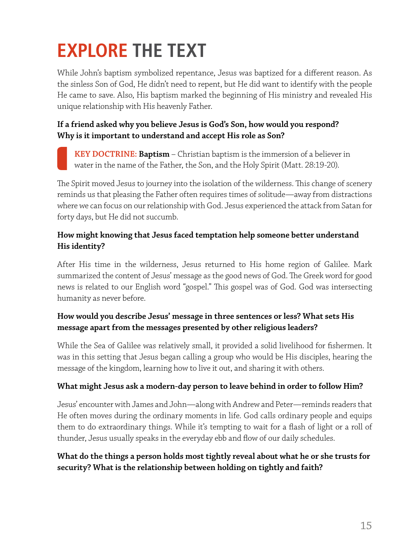# **EXPLORE THE TEXT**

While John's baptism symbolized repentance, Jesus was baptized for a different reason. As the sinless Son of God, He didn't need to repent, but He did want to identify with the people He came to save. Also, His baptism marked the beginning of His ministry and revealed His unique relationship with His heavenly Father.

#### **If a friend asked why you believe Jesus is God's Son, how would you respond? Why is it important to understand and accept His role as Son?**

**KEY DOCTRINE: Baptism** – Christian baptism is the immersion of a believer in water in the name of the Father, the Son, and the Holy Spirit (Matt. 28:19-20).

The Spirit moved Jesus to journey into the isolation of the wilderness. This change of scenery reminds us that pleasing the Father often requires times of solitude—away from distractions where we can focus on our relationship with God. Jesus experienced the attack from Satan for forty days, but He did not succumb.

#### **How might knowing that Jesus faced temptation help someone better understand His identity?**

After His time in the wilderness, Jesus returned to His home region of Galilee. Mark summarized the content of Jesus' message as the good news of God. The Greek word for good news is related to our English word "gospel." This gospel was of God. God was intersecting humanity as never before.

#### **How would you describe Jesus' message in three sentences or less? What sets His message apart from the messages presented by other religious leaders?**

While the Sea of Galilee was relatively small, it provided a solid livelihood for fishermen. It was in this setting that Jesus began calling a group who would be His disciples, hearing the message of the kingdom, learning how to live it out, and sharing it with others.

#### **What might Jesus ask a modern-day person to leave behind in order to follow Him?**

Jesus' encounter with James and John—along with Andrew and Peter—reminds readers that He often moves during the ordinary moments in life. God calls ordinary people and equips them to do extraordinary things. While it's tempting to wait for a flash of light or a roll of thunder, Jesus usually speaks in the everyday ebb and flow of our daily schedules.

#### **What do the things a person holds most tightly reveal about what he or she trusts for security? What is the relationship between holding on tightly and faith?**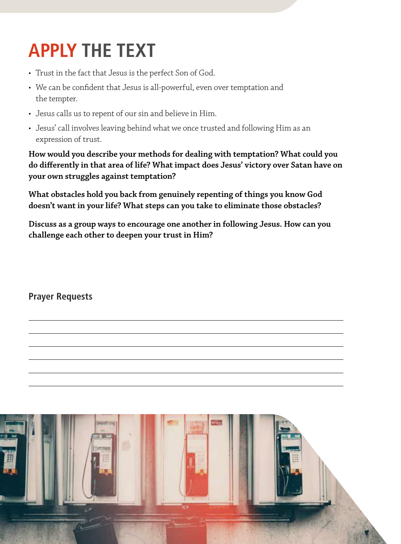# **APPLY THE TEXT**

- Trust in the fact that Jesus is the perfect Son of God.
- We can be confident that Jesus is all-powerful, even over temptation and the tempter.
- Jesus calls us to repent of our sin and believe in Him.
- Jesus' call involves leaving behind what we once trusted and following Him as an expression of trust.

**How would you describe your methods for dealing with temptation? What could you do differently in that area of life? What impact does Jesus' victory over Satan have on your own struggles against temptation?**

**What obstacles hold you back from genuinely repenting of things you know God doesn't want in your life? What steps can you take to eliminate those obstacles?**

**Discuss as a group ways to encourage one another in following Jesus. How can you challenge each other to deepen your trust in Him?**

**Prayer Requests**

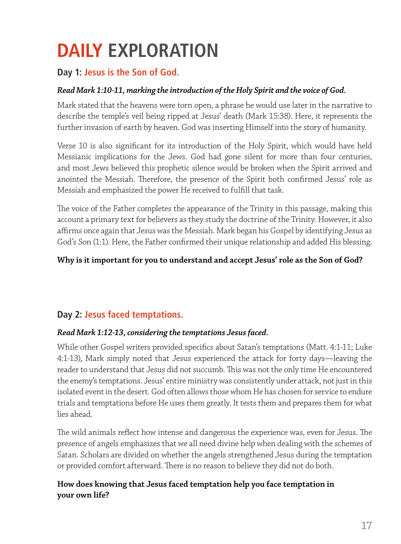# **DAILY EXPLORATION**

### **Day 1: Jesus is the Son of God.**

#### *Read Mark 1:10-11, marking the introduction of the Holy Spirit and the voice of God.*

Mark stated that the heavens were torn open, a phrase he would use later in the narrative to describe the temple's veil being ripped at Jesus' death (Mark 15:38). Here, it represents the further invasion of earth by heaven. God was inserting Himself into the story of humanity.

Verse 10 is also significant for its introduction of the Holy Spirit, which would have held Messianic implications for the Jews. God had gone silent for more than four centuries, and most Jews believed this prophetic silence would be broken when the Spirit arrived and anointed the Messiah. Therefore, the presence of the Spirit both confirmed Jesus' role as Messiah and emphasized the power He received to fulfill that task.

The voice of the Father completes the appearance of the Trinity in this passage, making this account a primary text for believers as they study the doctrine of the Trinity. However, it also affirms once again that Jesus was the Messiah. Mark began his Gospel by identifying Jesus as God's Son (1:1). Here, the Father confirmed their unique relationship and added His blessing.

#### **Why is it important for you to understand and accept Jesus' role as the Son of God?**

## **Day 2: Jesus faced temptations.**

#### *Read Mark 1:12-13, considering the temptations Jesus faced.*

While other Gospel writers provided specifics about Satan's temptations (Matt. 4:1-11; Luke 4:1-13), Mark simply noted that Jesus experienced the attack for forty days—leaving the reader to understand that Jesus did not succumb. This was not the only time He encountered the enemy's temptations. Jesus' entire ministry was consistently under attack, not just in this isolated event in the desert. God often allows those whom He has chosen for service to endure trials and temptations before He uses them greatly. It tests them and prepares them for what lies ahead.

The wild animals reflect how intense and dangerous the experience was, even for Jesus. The presence of angels emphasizes that we all need divine help when dealing with the schemes of Satan. Scholars are divided on whether the angels strengthened Jesus during the temptation or provided comfort afterward. There is no reason to believe they did not do both.

#### **How does knowing that Jesus faced temptation help you face temptation in your own life?**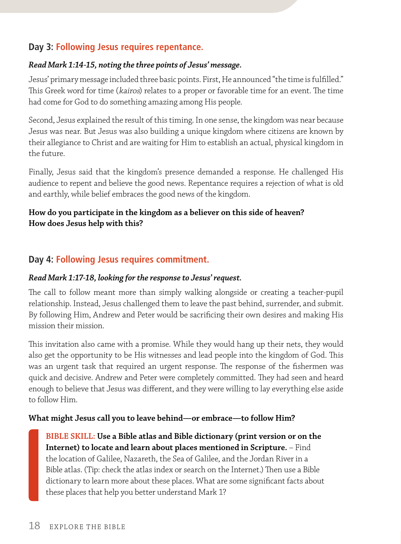### **Day 3: Following Jesus requires repentance.**

#### *Read Mark 1:14-15, noting the three points of Jesus' message.*

Jesus' primary message included three basic points. First, He announced "the time is fulfilled." This Greek word for time (kairos) relates to a proper or favorable time for an event. The time had come for God to do something amazing among His people.

Second, Jesus explained the result of this timing. In one sense, the kingdom was near because Jesus was near. But Jesus was also building a unique kingdom where citizens are known by their allegiance to Christ and are waiting for Him to establish an actual, physical kingdom in the future.

Finally, Jesus said that the kingdom's presence demanded a response. He challenged His audience to repent and believe the good news. Repentance requires a rejection of what is old and earthly, while belief embraces the good news of the kingdom.

#### **How do you participate in the kingdom as a believer on this side of heaven? How does Jesus help with this?**

## **Day 4: Following Jesus requires commitment.**

#### *Read Mark 1:17-18, looking for the response to Jesus' request.*

The call to follow meant more than simply walking alongside or creating a teacher-pupil relationship. Instead, Jesus challenged them to leave the past behind, surrender, and submit. By following Him, Andrew and Peter would be sacrificing their own desires and making His mission their mission.

This invitation also came with a promise. While they would hang up their nets, they would also get the opportunity to be His witnesses and lead people into the kingdom of God. This was an urgent task that required an urgent response. The response of the fishermen was quick and decisive. Andrew and Peter were completely committed. They had seen and heard enough to believe that Jesus was different, and they were willing to lay everything else aside to follow Him.

#### **What might Jesus call you to leave behind—or embrace—to follow Him?**

**BIBLE SKILL: Use a Bible atlas and Bible dictionary (print version or on the Internet) to locate and learn about places mentioned in Scripture.** – Find the location of Galilee, Nazareth, the Sea of Galilee, and the Jordan River in a Bible atlas. (Tip: check the atlas index or search on the Internet.) Then use a Bible dictionary to learn more about these places. What are some significant facts about these places that help you better understand Mark 1?